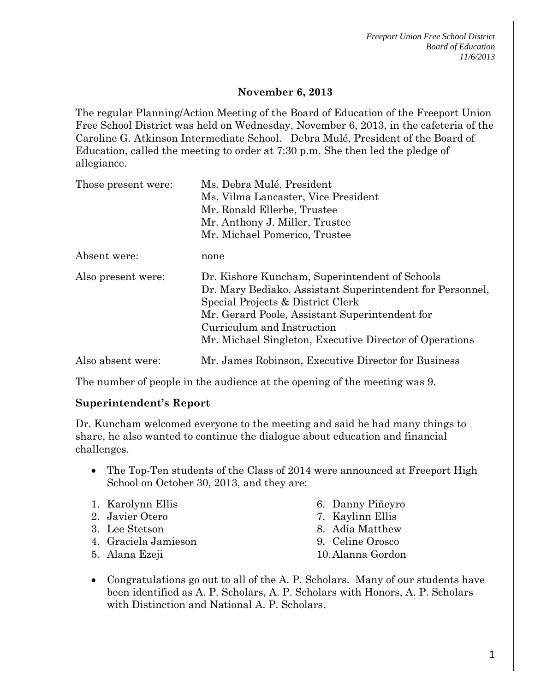*Freeport Union Free School District Board of Education 11/6/2013*

### **November 6, 2013**

The regular Planning/Action Meeting of the Board of Education of the Freeport Union Free School District was held on Wednesday, November 6, 2013, in the cafeteria of the Caroline G. Atkinson Intermediate School. Debra Mulé, President of the Board of Education, called the meeting to order at 7:30 p.m. She then led the pledge of allegiance.

| Those present were: | Ms. Debra Mulé, President                                                                                                                                                                                                                                                                   |
|---------------------|---------------------------------------------------------------------------------------------------------------------------------------------------------------------------------------------------------------------------------------------------------------------------------------------|
|                     | Ms. Vilma Lancaster, Vice President                                                                                                                                                                                                                                                         |
|                     | Mr. Ronald Ellerbe, Trustee                                                                                                                                                                                                                                                                 |
|                     | Mr. Anthony J. Miller, Trustee                                                                                                                                                                                                                                                              |
|                     | Mr. Michael Pomerico, Trustee                                                                                                                                                                                                                                                               |
| Absent were:        | none                                                                                                                                                                                                                                                                                        |
| Also present were:  | Dr. Kishore Kuncham, Superintendent of Schools<br>Dr. Mary Bediako, Assistant Superintendent for Personnel,<br>Special Projects & District Clerk<br>Mr. Gerard Poole, Assistant Superintendent for<br>Curriculum and Instruction<br>Mr. Michael Singleton, Executive Director of Operations |
| Also absent were:   | Mr. James Robinson, Executive Director for Business                                                                                                                                                                                                                                         |

The number of people in the audience at the opening of the meeting was 9.

#### **Superintendent's Report**

Dr. Kuncham welcomed everyone to the meeting and said he had many things to share, he also wanted to continue the dialogue about education and financial challenges.

- The Top-Ten students of the Class of 2014 were announced at Freeport High School on October 30, 2013, and they are:
- 1. Karolynn Ellis
- 2. Javier Otero
- 3. Lee Stetson
- 4. Graciela Jamieson
- 5. Alana Ezeji
- 6. Danny Piñeyro
- 7. Kaylinn Ellis
- 8. Adia Matthew
- 9. Celine Orosco
- 10.Alanna Gordon
- Congratulations go out to all of the A. P. Scholars. Many of our students have been identified as A. P. Scholars, A. P. Scholars with Honors, A. P. Scholars with Distinction and National A. P. Scholars.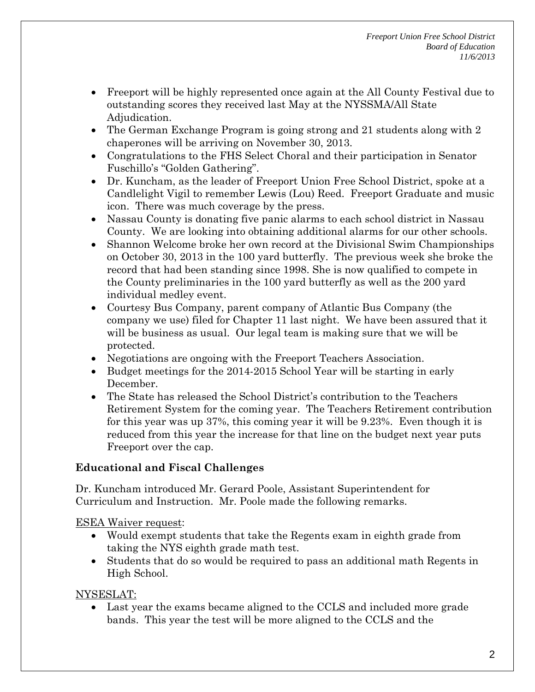- Freeport will be highly represented once again at the All County Festival due to outstanding scores they received last May at the NYSSMA/All State Adjudication.
- The German Exchange Program is going strong and 21 students along with 2 chaperones will be arriving on November 30, 2013.
- Congratulations to the FHS Select Choral and their participation in Senator Fuschillo's "Golden Gathering".
- Dr. Kuncham, as the leader of Freeport Union Free School District, spoke at a Candlelight Vigil to remember Lewis (Lou) Reed. Freeport Graduate and music icon. There was much coverage by the press.
- Nassau County is donating five panic alarms to each school district in Nassau County. We are looking into obtaining additional alarms for our other schools.
- Shannon Welcome broke her own record at the Divisional Swim Championships on October 30, 2013 in the 100 yard butterfly. The previous week she broke the record that had been standing since 1998. She is now qualified to compete in the County preliminaries in the 100 yard butterfly as well as the 200 yard individual medley event.
- Courtesy Bus Company, parent company of Atlantic Bus Company (the company we use) filed for Chapter 11 last night. We have been assured that it will be business as usual. Our legal team is making sure that we will be protected.
- Negotiations are ongoing with the Freeport Teachers Association.
- Budget meetings for the 2014-2015 School Year will be starting in early December.
- The State has released the School District's contribution to the Teachers Retirement System for the coming year. The Teachers Retirement contribution for this year was up 37%, this coming year it will be 9.23%. Even though it is reduced from this year the increase for that line on the budget next year puts Freeport over the cap.

# **Educational and Fiscal Challenges**

Dr. Kuncham introduced Mr. Gerard Poole, Assistant Superintendent for Curriculum and Instruction. Mr. Poole made the following remarks.

ESEA Waiver request:

- Would exempt students that take the Regents exam in eighth grade from taking the NYS eighth grade math test.
- Students that do so would be required to pass an additional math Regents in High School.

# NYSESLAT:

• Last year the exams became aligned to the CCLS and included more grade bands. This year the test will be more aligned to the CCLS and the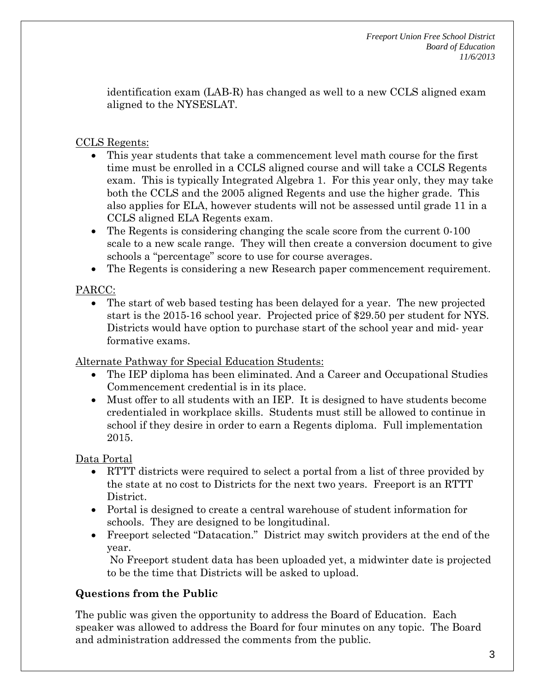identification exam (LAB-R) has changed as well to a new CCLS aligned exam aligned to the NYSESLAT.

## CCLS Regents:

- This year students that take a commencement level math course for the first time must be enrolled in a CCLS aligned course and will take a CCLS Regents exam. This is typically Integrated Algebra 1. For this year only, they may take both the CCLS and the 2005 aligned Regents and use the higher grade. This also applies for ELA, however students will not be assessed until grade 11 in a CCLS aligned ELA Regents exam.
- The Regents is considering changing the scale score from the current 0-100 scale to a new scale range. They will then create a conversion document to give schools a "percentage" score to use for course averages.
- The Regents is considering a new Research paper commencement requirement.

# PARCC:

• The start of web based testing has been delayed for a year. The new projected start is the 2015-16 school year. Projected price of \$29.50 per student for NYS. Districts would have option to purchase start of the school year and mid- year formative exams.

Alternate Pathway for Special Education Students:

- The IEP diploma has been eliminated. And a Career and Occupational Studies Commencement credential is in its place.
- Must offer to all students with an IEP. It is designed to have students become credentialed in workplace skills. Students must still be allowed to continue in school if they desire in order to earn a Regents diploma. Full implementation 2015.

# Data Portal

- RTTT districts were required to select a portal from a list of three provided by the state at no cost to Districts for the next two years. Freeport is an RTTT District.
- Portal is designed to create a central warehouse of student information for schools. They are designed to be longitudinal.
- Freeport selected "Datacation." District may switch providers at the end of the year.

No Freeport student data has been uploaded yet, a midwinter date is projected to be the time that Districts will be asked to upload.

# **Questions from the Public**

The public was given the opportunity to address the Board of Education. Each speaker was allowed to address the Board for four minutes on any topic. The Board and administration addressed the comments from the public.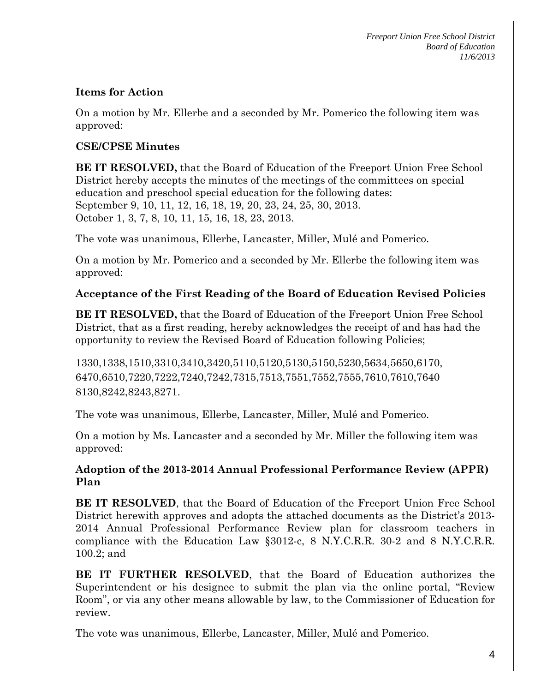*Freeport Union Free School District Board of Education 11/6/2013*

### **Items for Action**

On a motion by Mr. Ellerbe and a seconded by Mr. Pomerico the following item was approved:

### **CSE/CPSE Minutes**

**BE IT RESOLVED,** that the Board of Education of the Freeport Union Free School District hereby accepts the minutes of the meetings of the committees on special education and preschool special education for the following dates: September 9, 10, 11, 12, 16, 18, 19, 20, 23, 24, 25, 30, 2013. October 1, 3, 7, 8, 10, 11, 15, 16, 18, 23, 2013.

The vote was unanimous, Ellerbe, Lancaster, Miller, Mulé and Pomerico.

On a motion by Mr. Pomerico and a seconded by Mr. Ellerbe the following item was approved:

### **Acceptance of the First Reading of the Board of Education Revised Policies**

**BE IT RESOLVED,** that the Board of Education of the Freeport Union Free School District, that as a first reading, hereby acknowledges the receipt of and has had the opportunity to review the Revised Board of Education following Policies;

1330,1338,1510,3310,3410,3420,5110,5120,5130,5150,5230,5634,5650,6170, 6470,6510,7220,7222,7240,7242,7315,7513,7551,7552,7555,7610,7610,7640 8130,8242,8243,8271.

The vote was unanimous, Ellerbe, Lancaster, Miller, Mulé and Pomerico.

On a motion by Ms. Lancaster and a seconded by Mr. Miller the following item was approved:

### **Adoption of the 2013-2014 Annual Professional Performance Review (APPR) Plan**

**BE IT RESOLVED**, that the Board of Education of the Freeport Union Free School District herewith approves and adopts the attached documents as the District's 2013- 2014 Annual Professional Performance Review plan for classroom teachers in compliance with the Education Law §3012-c, 8 N.Y.C.R.R. 30-2 and 8 N.Y.C.R.R. 100.2; and

**BE IT FURTHER RESOLVED**, that the Board of Education authorizes the Superintendent or his designee to submit the plan via the online portal, "Review Room", or via any other means allowable by law, to the Commissioner of Education for review.

The vote was unanimous, Ellerbe, Lancaster, Miller, Mulé and Pomerico.